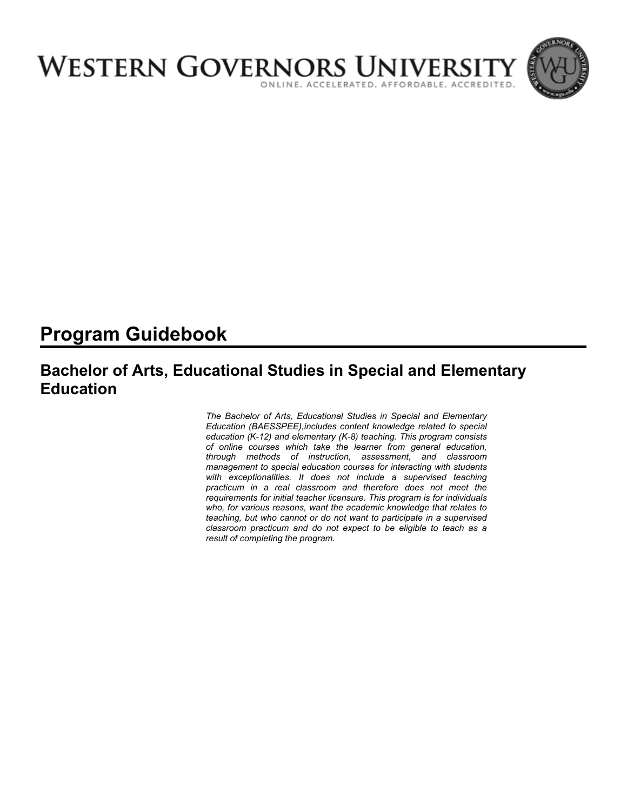

# **Program Guidebook**

## **Bachelor of Arts, Educational Studies in Special and Elementary Education**

*The Bachelor of Arts, Educational Studies in Special and Elementary Education (BAESSPEE),includes content knowledge related to special education (K-12) and elementary (K-8) teaching. This program consists of online courses which take the learner from general education, through methods of instruction, assessment, and classroom management to special education courses for interacting with students*  with exceptionalities. It does not include a supervised teaching *practicum in a real classroom and therefore does not meet the requirements for initial teacher licensure. This program is for individuals who, for various reasons, want the academic knowledge that relates to teaching, but who cannot or do not want to participate in a supervised classroom practicum and do not expect to be eligible to teach as a result of completing the program.*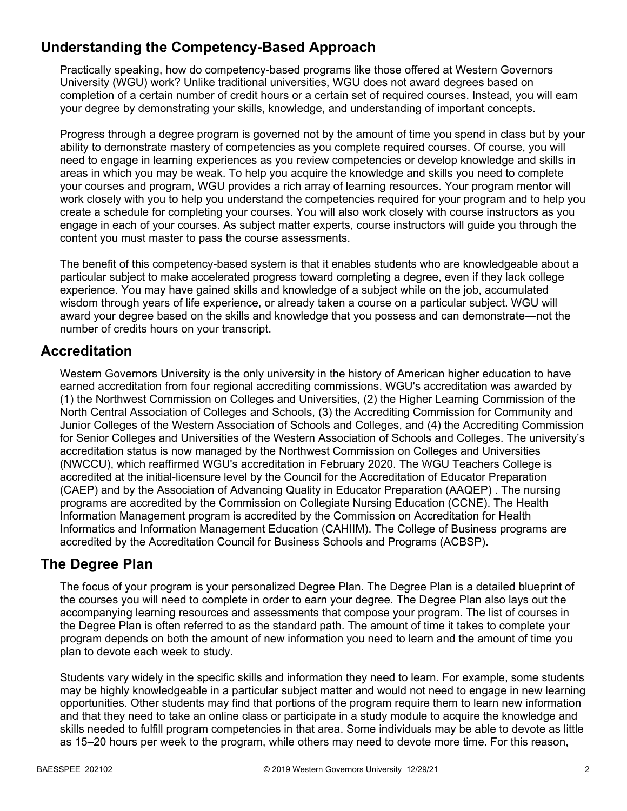## **Understanding the Competency-Based Approach**

Practically speaking, how do competency-based programs like those offered at Western Governors University (WGU) work? Unlike traditional universities, WGU does not award degrees based on completion of a certain number of credit hours or a certain set of required courses. Instead, you will earn your degree by demonstrating your skills, knowledge, and understanding of important concepts.

Progress through a degree program is governed not by the amount of time you spend in class but by your ability to demonstrate mastery of competencies as you complete required courses. Of course, you will need to engage in learning experiences as you review competencies or develop knowledge and skills in areas in which you may be weak. To help you acquire the knowledge and skills you need to complete your courses and program, WGU provides a rich array of learning resources. Your program mentor will work closely with you to help you understand the competencies required for your program and to help you create a schedule for completing your courses. You will also work closely with course instructors as you engage in each of your courses. As subject matter experts, course instructors will guide you through the content you must master to pass the course assessments.

The benefit of this competency-based system is that it enables students who are knowledgeable about a particular subject to make accelerated progress toward completing a degree, even if they lack college experience. You may have gained skills and knowledge of a subject while on the job, accumulated wisdom through years of life experience, or already taken a course on a particular subject. WGU will award your degree based on the skills and knowledge that you possess and can demonstrate—not the number of credits hours on your transcript.

## **Accreditation**

Western Governors University is the only university in the history of American higher education to have earned accreditation from four regional accrediting commissions. WGU's accreditation was awarded by (1) the Northwest Commission on Colleges and Universities, (2) the Higher Learning Commission of the North Central Association of Colleges and Schools, (3) the Accrediting Commission for Community and Junior Colleges of the Western Association of Schools and Colleges, and (4) the Accrediting Commission for Senior Colleges and Universities of the Western Association of Schools and Colleges. The university's accreditation status is now managed by the Northwest Commission on Colleges and Universities (NWCCU), which reaffirmed WGU's accreditation in February 2020. The WGU Teachers College is accredited at the initial-licensure level by the Council for the Accreditation of Educator Preparation (CAEP) and by the Association of Advancing Quality in Educator Preparation (AAQEP) . The nursing programs are accredited by the Commission on Collegiate Nursing Education (CCNE). The Health Information Management program is accredited by the Commission on Accreditation for Health Informatics and Information Management Education (CAHIIM). The College of Business programs are accredited by the Accreditation Council for Business Schools and Programs (ACBSP).

## **The Degree Plan**

The focus of your program is your personalized Degree Plan. The Degree Plan is a detailed blueprint of the courses you will need to complete in order to earn your degree. The Degree Plan also lays out the accompanying learning resources and assessments that compose your program. The list of courses in the Degree Plan is often referred to as the standard path. The amount of time it takes to complete your program depends on both the amount of new information you need to learn and the amount of time you plan to devote each week to study.

Students vary widely in the specific skills and information they need to learn. For example, some students may be highly knowledgeable in a particular subject matter and would not need to engage in new learning opportunities. Other students may find that portions of the program require them to learn new information and that they need to take an online class or participate in a study module to acquire the knowledge and skills needed to fulfill program competencies in that area. Some individuals may be able to devote as little as 15–20 hours per week to the program, while others may need to devote more time. For this reason,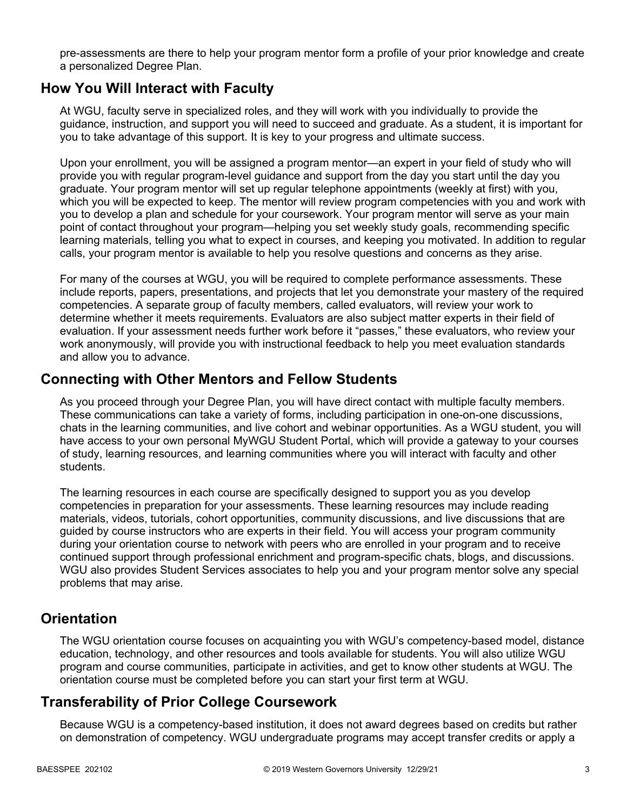pre-assessments are there to help your program mentor form a profile of your prior knowledge and create a personalized Degree Plan.

### **How You Will Interact with Faculty**

At WGU, faculty serve in specialized roles, and they will work with you individually to provide the guidance, instruction, and support you will need to succeed and graduate. As a student, it is important for you to take advantage of this support. It is key to your progress and ultimate success.

Upon your enrollment, you will be assigned a program mentor—an expert in your field of study who will provide you with regular program-level guidance and support from the day you start until the day you graduate. Your program mentor will set up regular telephone appointments (weekly at first) with you, which you will be expected to keep. The mentor will review program competencies with you and work with you to develop a plan and schedule for your coursework. Your program mentor will serve as your main point of contact throughout your program—helping you set weekly study goals, recommending specific learning materials, telling you what to expect in courses, and keeping you motivated. In addition to regular calls, your program mentor is available to help you resolve questions and concerns as they arise.

For many of the courses at WGU, you will be required to complete performance assessments. These include reports, papers, presentations, and projects that let you demonstrate your mastery of the required competencies. A separate group of faculty members, called evaluators, will review your work to determine whether it meets requirements. Evaluators are also subject matter experts in their field of evaluation. If your assessment needs further work before it "passes," these evaluators, who review your work anonymously, will provide you with instructional feedback to help you meet evaluation standards and allow you to advance.

### **Connecting with Other Mentors and Fellow Students**

As you proceed through your Degree Plan, you will have direct contact with multiple faculty members. These communications can take a variety of forms, including participation in one-on-one discussions, chats in the learning communities, and live cohort and webinar opportunities. As a WGU student, you will have access to your own personal MyWGU Student Portal, which will provide a gateway to your courses of study, learning resources, and learning communities where you will interact with faculty and other students.

The learning resources in each course are specifically designed to support you as you develop competencies in preparation for your assessments. These learning resources may include reading materials, videos, tutorials, cohort opportunities, community discussions, and live discussions that are guided by course instructors who are experts in their field. You will access your program community during your orientation course to network with peers who are enrolled in your program and to receive continued support through professional enrichment and program-specific chats, blogs, and discussions. WGU also provides Student Services associates to help you and your program mentor solve any special problems that may arise.

## **Orientation**

The WGU orientation course focuses on acquainting you with WGU's competency-based model, distance education, technology, and other resources and tools available for students. You will also utilize WGU program and course communities, participate in activities, and get to know other students at WGU. The orientation course must be completed before you can start your first term at WGU.

## **Transferability of Prior College Coursework**

Because WGU is a competency-based institution, it does not award degrees based on credits but rather on demonstration of competency. WGU undergraduate programs may accept transfer credits or apply a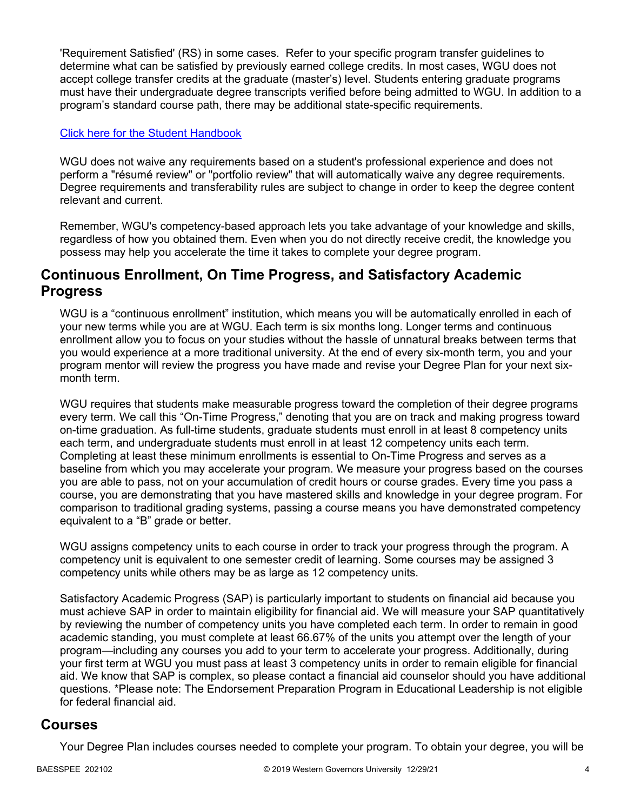'Requirement Satisfied' (RS) in some cases. Refer to your specific program transfer guidelines to determine what can be satisfied by previously earned college credits. In most cases, WGU does not accept college transfer credits at the graduate (master's) level. Students entering graduate programs must have their undergraduate degree transcripts verified before being admitted to WGU. In addition to a program's standard course path, there may be additional state-specific requirements.

### [Click here for the Student Handbook](http://cm.wgu.edu/)

WGU does not waive any requirements based on a student's professional experience and does not perform a "résumé review" or "portfolio review" that will automatically waive any degree requirements. Degree requirements and transferability rules are subject to change in order to keep the degree content relevant and current.

Remember, WGU's competency-based approach lets you take advantage of your knowledge and skills, regardless of how you obtained them. Even when you do not directly receive credit, the knowledge you possess may help you accelerate the time it takes to complete your degree program.

### **Continuous Enrollment, On Time Progress, and Satisfactory Academic Progress**

WGU is a "continuous enrollment" institution, which means you will be automatically enrolled in each of your new terms while you are at WGU. Each term is six months long. Longer terms and continuous enrollment allow you to focus on your studies without the hassle of unnatural breaks between terms that you would experience at a more traditional university. At the end of every six-month term, you and your program mentor will review the progress you have made and revise your Degree Plan for your next sixmonth term.

WGU requires that students make measurable progress toward the completion of their degree programs every term. We call this "On-Time Progress," denoting that you are on track and making progress toward on-time graduation. As full-time students, graduate students must enroll in at least 8 competency units each term, and undergraduate students must enroll in at least 12 competency units each term. Completing at least these minimum enrollments is essential to On-Time Progress and serves as a baseline from which you may accelerate your program. We measure your progress based on the courses you are able to pass, not on your accumulation of credit hours or course grades. Every time you pass a course, you are demonstrating that you have mastered skills and knowledge in your degree program. For comparison to traditional grading systems, passing a course means you have demonstrated competency equivalent to a "B" grade or better.

WGU assigns competency units to each course in order to track your progress through the program. A competency unit is equivalent to one semester credit of learning. Some courses may be assigned 3 competency units while others may be as large as 12 competency units.

Satisfactory Academic Progress (SAP) is particularly important to students on financial aid because you must achieve SAP in order to maintain eligibility for financial aid. We will measure your SAP quantitatively by reviewing the number of competency units you have completed each term. In order to remain in good academic standing, you must complete at least 66.67% of the units you attempt over the length of your program—including any courses you add to your term to accelerate your progress. Additionally, during your first term at WGU you must pass at least 3 competency units in order to remain eligible for financial aid. We know that SAP is complex, so please contact a financial aid counselor should you have additional questions. \*Please note: The Endorsement Preparation Program in Educational Leadership is not eligible for federal financial aid.

### **Courses**

Your Degree Plan includes courses needed to complete your program. To obtain your degree, you will be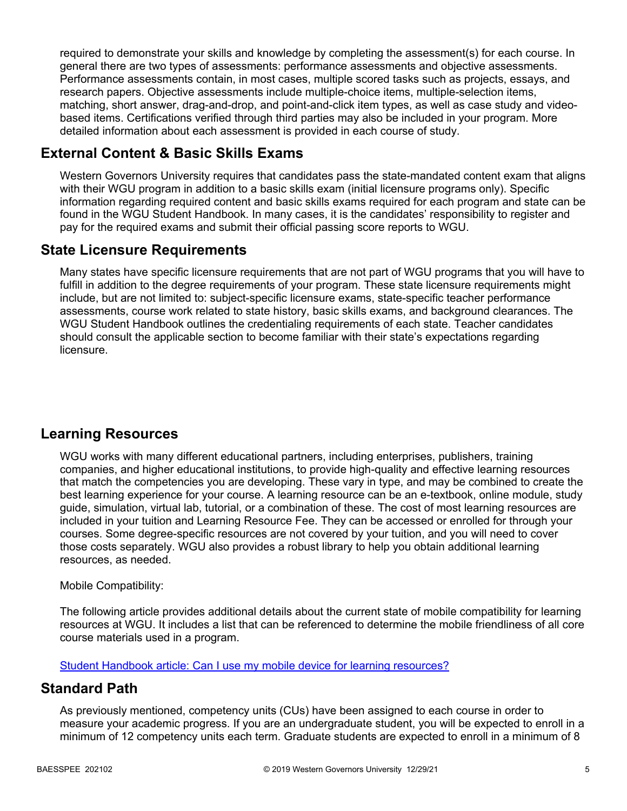required to demonstrate your skills and knowledge by completing the assessment(s) for each course. In general there are two types of assessments: performance assessments and objective assessments. Performance assessments contain, in most cases, multiple scored tasks such as projects, essays, and research papers. Objective assessments include multiple-choice items, multiple-selection items, matching, short answer, drag-and-drop, and point-and-click item types, as well as case study and videobased items. Certifications verified through third parties may also be included in your program. More detailed information about each assessment is provided in each course of study.

## **External Content & Basic Skills Exams**

Western Governors University requires that candidates pass the state-mandated content exam that aligns with their WGU program in addition to a basic skills exam (initial licensure programs only). Specific information regarding required content and basic skills exams required for each program and state can be found in the WGU Student Handbook. In many cases, it is the candidates' responsibility to register and pay for the required exams and submit their official passing score reports to WGU.

## **State Licensure Requirements**

Many states have specific licensure requirements that are not part of WGU programs that you will have to fulfill in addition to the degree requirements of your program. These state licensure requirements might include, but are not limited to: subject-specific licensure exams, state-specific teacher performance assessments, course work related to state history, basic skills exams, and background clearances. The WGU Student Handbook outlines the credentialing requirements of each state. Teacher candidates should consult the applicable section to become familiar with their state's expectations regarding licensure.

## **Learning Resources**

WGU works with many different educational partners, including enterprises, publishers, training companies, and higher educational institutions, to provide high-quality and effective learning resources that match the competencies you are developing. These vary in type, and may be combined to create the best learning experience for your course. A learning resource can be an e-textbook, online module, study guide, simulation, virtual lab, tutorial, or a combination of these. The cost of most learning resources are included in your tuition and Learning Resource Fee. They can be accessed or enrolled for through your courses. Some degree-specific resources are not covered by your tuition, and you will need to cover those costs separately. WGU also provides a robust library to help you obtain additional learning resources, as needed.

### Mobile Compatibility:

The following article provides additional details about the current state of mobile compatibility for learning resources at WGU. It includes a list that can be referenced to determine the mobile friendliness of all core course materials used in a program.

[Student Handbook article: Can I use my mobile device for learning resources?](https://cm.wgu.edu/t5/Frequently-Asked-Questions/Can-I-use-my-mobile-device-for-learning-resources/ta-p/396)

## **Standard Path**

As previously mentioned, competency units (CUs) have been assigned to each course in order to measure your academic progress. If you are an undergraduate student, you will be expected to enroll in a minimum of 12 competency units each term. Graduate students are expected to enroll in a minimum of 8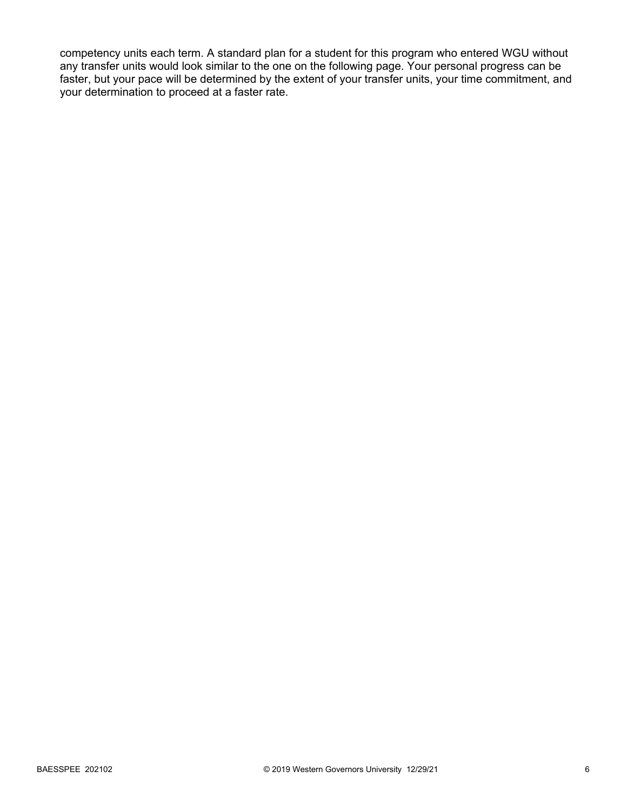competency units each term. A standard plan for a student for this program who entered WGU without any transfer units would look similar to the one on the following page. Your personal progress can be faster, but your pace will be determined by the extent of your transfer units, your time commitment, and your determination to proceed at a faster rate.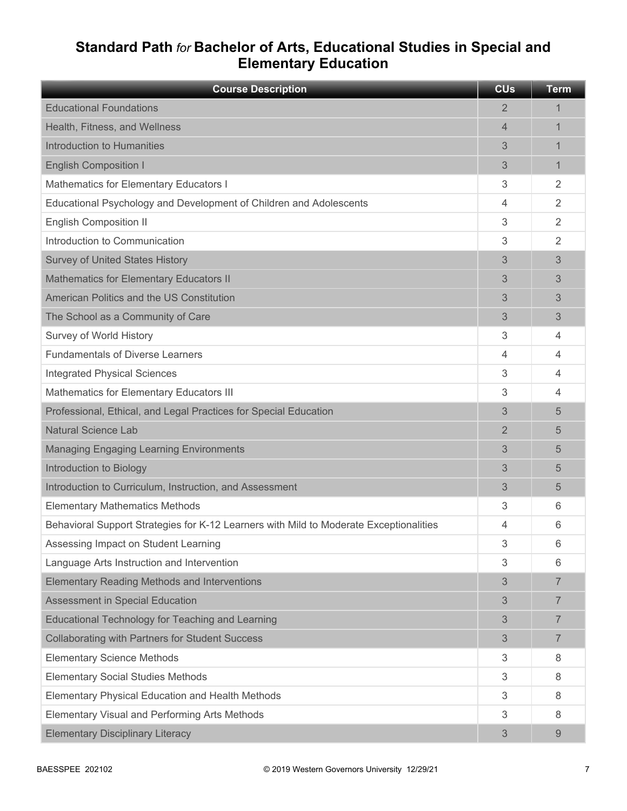## **Standard Path** *for* **Bachelor of Arts, Educational Studies in Special and Elementary Education**

| <b>Course Description</b>                                                              | <b>CU<sub>s</sub></b> | <b>Term</b>    |
|----------------------------------------------------------------------------------------|-----------------------|----------------|
| <b>Educational Foundations</b>                                                         | 2                     | 1              |
| Health, Fitness, and Wellness                                                          | $\overline{4}$        | 1              |
| Introduction to Humanities                                                             | 3                     | 1              |
| <b>English Composition I</b>                                                           | 3                     | 1              |
| Mathematics for Elementary Educators I                                                 | 3                     | $\overline{2}$ |
| Educational Psychology and Development of Children and Adolescents                     | 4                     | $\overline{2}$ |
| <b>English Composition II</b>                                                          | 3                     | $\overline{2}$ |
| Introduction to Communication                                                          | 3                     | 2              |
| <b>Survey of United States History</b>                                                 | 3                     | 3              |
| <b>Mathematics for Elementary Educators II</b>                                         | 3                     | 3              |
| American Politics and the US Constitution                                              | 3                     | 3              |
| The School as a Community of Care                                                      | 3                     | 3              |
| Survey of World History                                                                | 3                     | 4              |
| <b>Fundamentals of Diverse Learners</b>                                                | 4                     | $\overline{4}$ |
| <b>Integrated Physical Sciences</b>                                                    | 3                     | 4              |
| Mathematics for Elementary Educators III                                               | 3                     | 4              |
| Professional, Ethical, and Legal Practices for Special Education                       | 3                     | 5              |
| <b>Natural Science Lab</b>                                                             | 2                     | 5              |
| <b>Managing Engaging Learning Environments</b>                                         | 3                     | 5              |
| Introduction to Biology                                                                | 3                     | 5              |
| Introduction to Curriculum, Instruction, and Assessment                                | 3                     | 5              |
| <b>Elementary Mathematics Methods</b>                                                  | 3                     | 6              |
| Behavioral Support Strategies for K-12 Learners with Mild to Moderate Exceptionalities | 4                     | 6              |
| Assessing Impact on Student Learning                                                   | 3                     | 6              |
| Language Arts Instruction and Intervention                                             | 3                     | 6              |
| <b>Elementary Reading Methods and Interventions</b>                                    | 3                     | $\overline{7}$ |
| <b>Assessment in Special Education</b>                                                 | 3                     | 7              |
| Educational Technology for Teaching and Learning                                       | 3                     | $\overline{7}$ |
| <b>Collaborating with Partners for Student Success</b>                                 | 3                     | $\overline{7}$ |
| <b>Elementary Science Methods</b>                                                      | 3                     | 8              |
| <b>Elementary Social Studies Methods</b>                                               | 3                     | 8              |
| Elementary Physical Education and Health Methods                                       | 3                     | 8              |
| Elementary Visual and Performing Arts Methods                                          | 3                     | 8              |
| <b>Elementary Disciplinary Literacy</b>                                                | 3                     | 9              |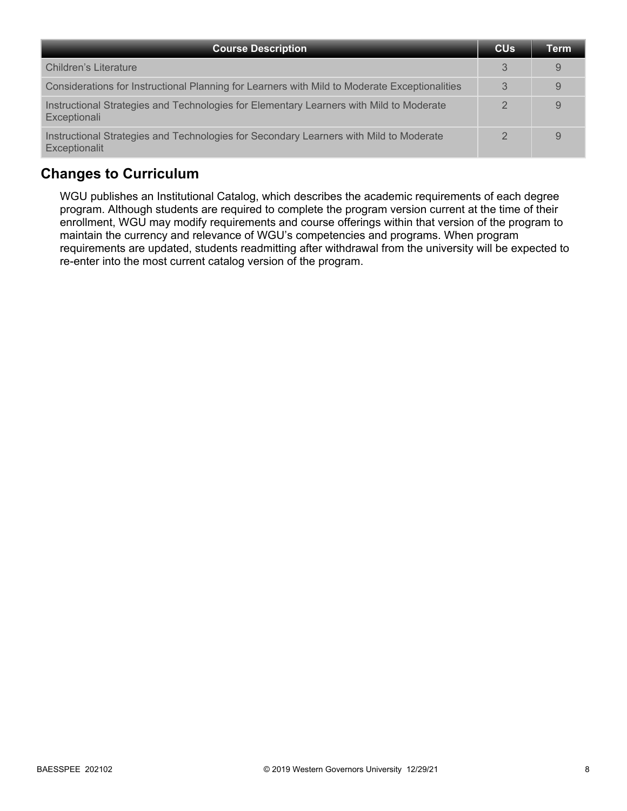| <b>Course Description</b>                                                                               | <b>CU<sub>s</sub></b> | Term |
|---------------------------------------------------------------------------------------------------------|-----------------------|------|
| Children's Literature                                                                                   | 3                     | 9    |
| Considerations for Instructional Planning for Learners with Mild to Moderate Exceptionalities           | 3                     | 9    |
| Instructional Strategies and Technologies for Elementary Learners with Mild to Moderate<br>Exceptionali |                       | 9    |
| Instructional Strategies and Technologies for Secondary Learners with Mild to Moderate<br>Exceptionalit | $\mathcal{D}$         | 9    |

## **Changes to Curriculum**

WGU publishes an Institutional Catalog, which describes the academic requirements of each degree program. Although students are required to complete the program version current at the time of their enrollment, WGU may modify requirements and course offerings within that version of the program to maintain the currency and relevance of WGU's competencies and programs. When program requirements are updated, students readmitting after withdrawal from the university will be expected to re-enter into the most current catalog version of the program.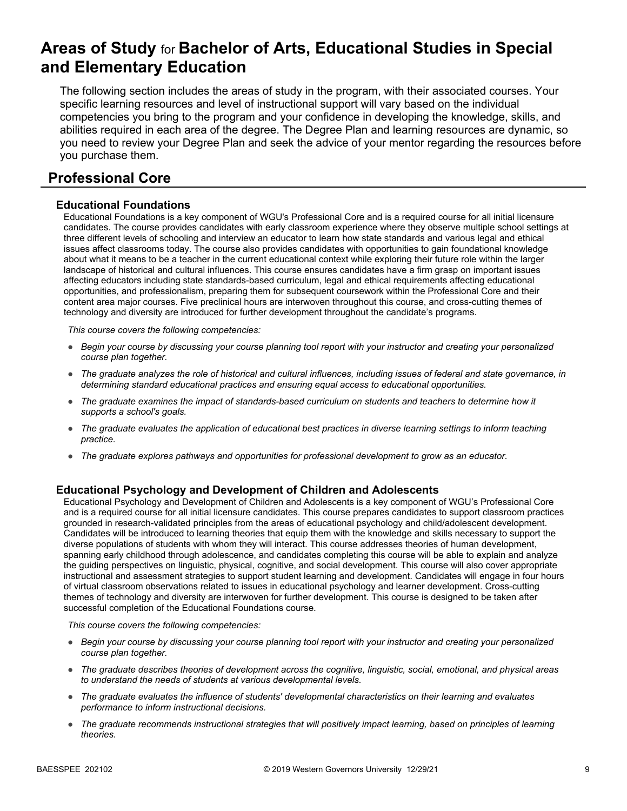## **Areas of Study** for **Bachelor of Arts, Educational Studies in Special and Elementary Education**

The following section includes the areas of study in the program, with their associated courses. Your specific learning resources and level of instructional support will vary based on the individual competencies you bring to the program and your confidence in developing the knowledge, skills, and abilities required in each area of the degree. The Degree Plan and learning resources are dynamic, so you need to review your Degree Plan and seek the advice of your mentor regarding the resources before you purchase them.

## **Professional Core**

### **Educational Foundations**

Educational Foundations is a key component of WGU's Professional Core and is a required course for all initial licensure candidates. The course provides candidates with early classroom experience where they observe multiple school settings at three different levels of schooling and interview an educator to learn how state standards and various legal and ethical issues affect classrooms today. The course also provides candidates with opportunities to gain foundational knowledge about what it means to be a teacher in the current educational context while exploring their future role within the larger landscape of historical and cultural influences. This course ensures candidates have a firm grasp on important issues affecting educators including state standards-based curriculum, legal and ethical requirements affecting educational opportunities, and professionalism, preparing them for subsequent coursework within the Professional Core and their content area major courses. Five preclinical hours are interwoven throughout this course, and cross-cutting themes of technology and diversity are introduced for further development throughout the candidate's programs.

*This course covers the following competencies:*

- *Begin your course by discussing your course planning tool report with your instructor and creating your personalized course plan together.*
- *The graduate analyzes the role of historical and cultural influences, including issues of federal and state governance, in determining standard educational practices and ensuring equal access to educational opportunities.*
- *The graduate examines the impact of standards-based curriculum on students and teachers to determine how it supports a school's goals.*
- *The graduate evaluates the application of educational best practices in diverse learning settings to inform teaching practice.*
- *The graduate explores pathways and opportunities for professional development to grow as an educator.*

#### **Educational Psychology and Development of Children and Adolescents**

Educational Psychology and Development of Children and Adolescents is a key component of WGU's Professional Core and is a required course for all initial licensure candidates. This course prepares candidates to support classroom practices grounded in research-validated principles from the areas of educational psychology and child/adolescent development. Candidates will be introduced to learning theories that equip them with the knowledge and skills necessary to support the diverse populations of students with whom they will interact. This course addresses theories of human development, spanning early childhood through adolescence, and candidates completing this course will be able to explain and analyze the guiding perspectives on linguistic, physical, cognitive, and social development. This course will also cover appropriate instructional and assessment strategies to support student learning and development. Candidates will engage in four hours of virtual classroom observations related to issues in educational psychology and learner development. Cross-cutting themes of technology and diversity are interwoven for further development. This course is designed to be taken after successful completion of the Educational Foundations course.

- *Begin your course by discussing your course planning tool report with your instructor and creating your personalized course plan together.*
- *The graduate describes theories of development across the cognitive, linguistic, social, emotional, and physical areas to understand the needs of students at various developmental levels.*
- *The graduate evaluates the influence of students' developmental characteristics on their learning and evaluates performance to inform instructional decisions.*
- *The graduate recommends instructional strategies that will positively impact learning, based on principles of learning theories.*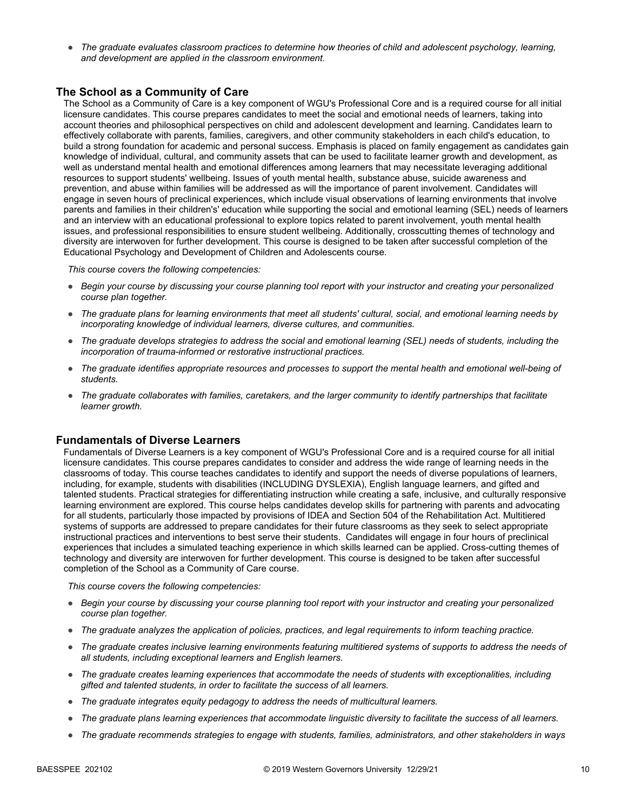● *The graduate evaluates classroom practices to determine how theories of child and adolescent psychology, learning, and development are applied in the classroom environment.*

### **The School as a Community of Care**

The School as a Community of Care is a key component of WGU's Professional Core and is a required course for all initial licensure candidates. This course prepares candidates to meet the social and emotional needs of learners, taking into account theories and philosophical perspectives on child and adolescent development and learning. Candidates learn to effectively collaborate with parents, families, caregivers, and other community stakeholders in each child's education, to build a strong foundation for academic and personal success. Emphasis is placed on family engagement as candidates gain knowledge of individual, cultural, and community assets that can be used to facilitate learner growth and development, as well as understand mental health and emotional differences among learners that may necessitate leveraging additional resources to support students' wellbeing. Issues of youth mental health, substance abuse, suicide awareness and prevention, and abuse within families will be addressed as will the importance of parent involvement. Candidates will engage in seven hours of preclinical experiences, which include visual observations of learning environments that involve parents and families in their children's' education while supporting the social and emotional learning (SEL) needs of learners and an interview with an educational professional to explore topics related to parent involvement, youth mental health issues, and professional responsibilities to ensure student wellbeing. Additionally, crosscutting themes of technology and diversity are interwoven for further development. This course is designed to be taken after successful completion of the Educational Psychology and Development of Children and Adolescents course.

*This course covers the following competencies:*

- *Begin your course by discussing your course planning tool report with your instructor and creating your personalized course plan together.*
- *The graduate plans for learning environments that meet all students' cultural, social, and emotional learning needs by incorporating knowledge of individual learners, diverse cultures, and communities.*
- *The graduate develops strategies to address the social and emotional learning (SEL) needs of students, including the incorporation of trauma-informed or restorative instructional practices.*
- *The graduate identifies appropriate resources and processes to support the mental health and emotional well-being of students.*
- *The graduate collaborates with families, caretakers, and the larger community to identify partnerships that facilitate learner growth.*

#### **Fundamentals of Diverse Learners**

Fundamentals of Diverse Learners is a key component of WGU's Professional Core and is a required course for all initial licensure candidates. This course prepares candidates to consider and address the wide range of learning needs in the classrooms of today. This course teaches candidates to identify and support the needs of diverse populations of learners, including, for example, students with disabilities (INCLUDING DYSLEXIA), English language learners, and gifted and talented students. Practical strategies for differentiating instruction while creating a safe, inclusive, and culturally responsive learning environment are explored. This course helps candidates develop skills for partnering with parents and advocating for all students, particularly those impacted by provisions of IDEA and Section 504 of the Rehabilitation Act. Multitiered systems of supports are addressed to prepare candidates for their future classrooms as they seek to select appropriate instructional practices and interventions to best serve their students. Candidates will engage in four hours of preclinical experiences that includes a simulated teaching experience in which skills learned can be applied. Cross-cutting themes of technology and diversity are interwoven for further development. This course is designed to be taken after successful completion of the School as a Community of Care course.

- *Begin your course by discussing your course planning tool report with your instructor and creating your personalized course plan together.*
- *The graduate analyzes the application of policies, practices, and legal requirements to inform teaching practice.*
- *The graduate creates inclusive learning environments featuring multitiered systems of supports to address the needs of all students, including exceptional learners and English learners.*
- *The graduate creates learning experiences that accommodate the needs of students with exceptionalities, including gifted and talented students, in order to facilitate the success of all learners.*
- *The graduate integrates equity pedagogy to address the needs of multicultural learners.*
- *The graduate plans learning experiences that accommodate linguistic diversity to facilitate the success of all learners.*
- *The graduate recommends strategies to engage with students, families, administrators, and other stakeholders in ways*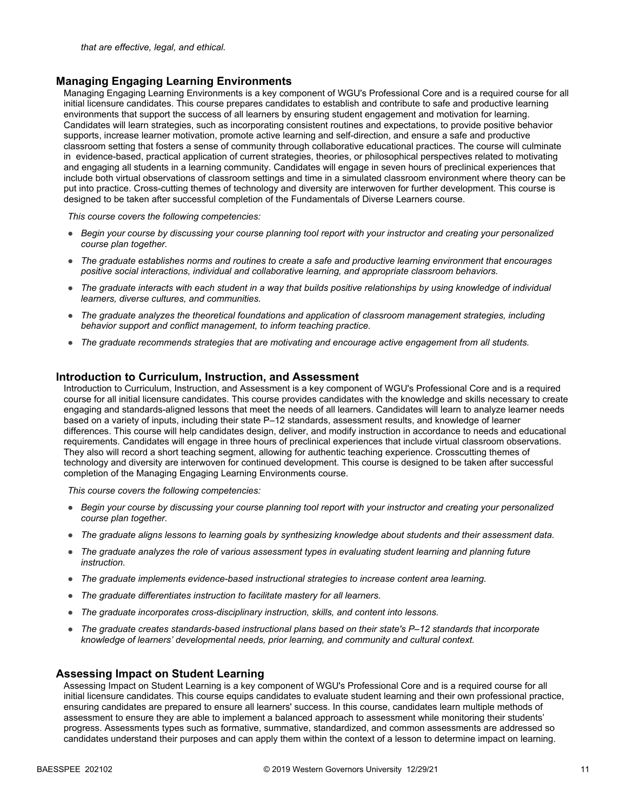#### **Managing Engaging Learning Environments**

Managing Engaging Learning Environments is a key component of WGU's Professional Core and is a required course for all initial licensure candidates. This course prepares candidates to establish and contribute to safe and productive learning environments that support the success of all learners by ensuring student engagement and motivation for learning. Candidates will learn strategies, such as incorporating consistent routines and expectations, to provide positive behavior supports, increase learner motivation, promote active learning and self-direction, and ensure a safe and productive classroom setting that fosters a sense of community through collaborative educational practices. The course will culminate in evidence-based, practical application of current strategies, theories, or philosophical perspectives related to motivating and engaging all students in a learning community. Candidates will engage in seven hours of preclinical experiences that include both virtual observations of classroom settings and time in a simulated classroom environment where theory can be put into practice. Cross-cutting themes of technology and diversity are interwoven for further development. This course is designed to be taken after successful completion of the Fundamentals of Diverse Learners course.

*This course covers the following competencies:*

- *Begin your course by discussing your course planning tool report with your instructor and creating your personalized course plan together.*
- *The graduate establishes norms and routines to create a safe and productive learning environment that encourages positive social interactions, individual and collaborative learning, and appropriate classroom behaviors.*
- *The graduate interacts with each student in a way that builds positive relationships by using knowledge of individual learners, diverse cultures, and communities.*
- *The graduate analyzes the theoretical foundations and application of classroom management strategies, including behavior support and conflict management, to inform teaching practice.*
- *The graduate recommends strategies that are motivating and encourage active engagement from all students.*

#### **Introduction to Curriculum, Instruction, and Assessment**

Introduction to Curriculum, Instruction, and Assessment is a key component of WGU's Professional Core and is a required course for all initial licensure candidates. This course provides candidates with the knowledge and skills necessary to create engaging and standards-aligned lessons that meet the needs of all learners. Candidates will learn to analyze learner needs based on a variety of inputs, including their state P–12 standards, assessment results, and knowledge of learner differences. This course will help candidates design, deliver, and modify instruction in accordance to needs and educational requirements. Candidates will engage in three hours of preclinical experiences that include virtual classroom observations. They also will record a short teaching segment, allowing for authentic teaching experience. Crosscutting themes of technology and diversity are interwoven for continued development. This course is designed to be taken after successful completion of the Managing Engaging Learning Environments course.

*This course covers the following competencies:*

- *Begin your course by discussing your course planning tool report with your instructor and creating your personalized course plan together.*
- *The graduate aligns lessons to learning goals by synthesizing knowledge about students and their assessment data.*
- *The graduate analyzes the role of various assessment types in evaluating student learning and planning future instruction.*
- *The graduate implements evidence-based instructional strategies to increase content area learning.*
- *The graduate differentiates instruction to facilitate mastery for all learners.*
- *The graduate incorporates cross-disciplinary instruction, skills, and content into lessons.*
- *The graduate creates standards-based instructional plans based on their state's P–12 standards that incorporate knowledge of learners' developmental needs, prior learning, and community and cultural context.*

#### **Assessing Impact on Student Learning**

Assessing Impact on Student Learning is a key component of WGU's Professional Core and is a required course for all initial licensure candidates. This course equips candidates to evaluate student learning and their own professional practice, ensuring candidates are prepared to ensure all learners' success. In this course, candidates learn multiple methods of assessment to ensure they are able to implement a balanced approach to assessment while monitoring their students' progress. Assessments types such as formative, summative, standardized, and common assessments are addressed so candidates understand their purposes and can apply them within the context of a lesson to determine impact on learning.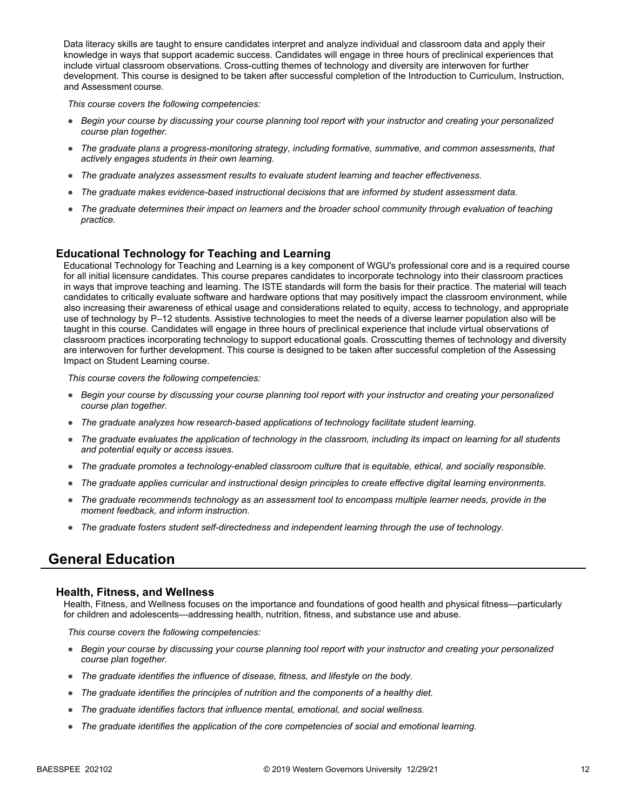Data literacy skills are taught to ensure candidates interpret and analyze individual and classroom data and apply their knowledge in ways that support academic success. Candidates will engage in three hours of preclinical experiences that include virtual classroom observations. Cross-cutting themes of technology and diversity are interwoven for further development. This course is designed to be taken after successful completion of the Introduction to Curriculum, Instruction, and Assessment course.

*This course covers the following competencies:*

- *Begin your course by discussing your course planning tool report with your instructor and creating your personalized course plan together.*
- *The graduate plans a progress-monitoring strategy, including formative, summative, and common assessments, that actively engages students in their own learning.*
- *The graduate analyzes assessment results to evaluate student learning and teacher effectiveness.*
- *The graduate makes evidence-based instructional decisions that are informed by student assessment data.*
- *The graduate determines their impact on learners and the broader school community through evaluation of teaching practice.*

### **Educational Technology for Teaching and Learning**

Educational Technology for Teaching and Learning is a key component of WGU's professional core and is a required course for all initial licensure candidates. This course prepares candidates to incorporate technology into their classroom practices in ways that improve teaching and learning. The ISTE standards will form the basis for their practice. The material will teach candidates to critically evaluate software and hardware options that may positively impact the classroom environment, while also increasing their awareness of ethical usage and considerations related to equity, access to technology, and appropriate use of technology by P–12 students. Assistive technologies to meet the needs of a diverse learner population also will be taught in this course. Candidates will engage in three hours of preclinical experience that include virtual observations of classroom practices incorporating technology to support educational goals. Crosscutting themes of technology and diversity are interwoven for further development. This course is designed to be taken after successful completion of the Assessing Impact on Student Learning course.

*This course covers the following competencies:*

- *Begin your course by discussing your course planning tool report with your instructor and creating your personalized course plan together.*
- *The graduate analyzes how research-based applications of technology facilitate student learning.*
- *The graduate evaluates the application of technology in the classroom, including its impact on learning for all students and potential equity or access issues.*
- *The graduate promotes a technology-enabled classroom culture that is equitable, ethical, and socially responsible.*
- *The graduate applies curricular and instructional design principles to create effective digital learning environments.*
- *The graduate recommends technology as an assessment tool to encompass multiple learner needs, provide in the moment feedback, and inform instruction.*
- *The graduate fosters student self-directedness and independent learning through the use of technology.*

### **General Education**

#### **Health, Fitness, and Wellness**

Health, Fitness, and Wellness focuses on the importance and foundations of good health and physical fitness—particularly for children and adolescents—addressing health, nutrition, fitness, and substance use and abuse.

- *Begin your course by discussing your course planning tool report with your instructor and creating your personalized course plan together.*
- *The graduate identifies the influence of disease, fitness, and lifestyle on the body.*
- *The graduate identifies the principles of nutrition and the components of a healthy diet.*
- *The graduate identifies factors that influence mental, emotional, and social wellness.*
- *The graduate identifies the application of the core competencies of social and emotional learning.*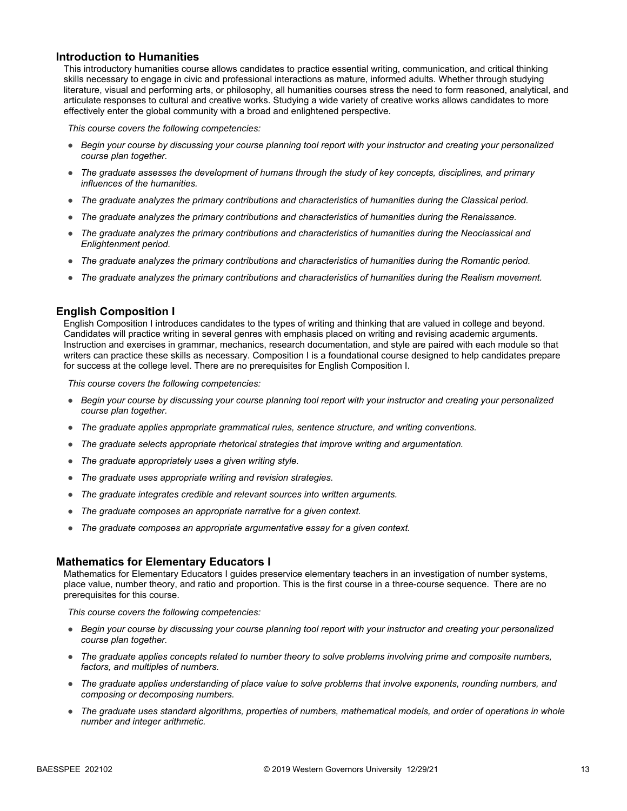#### **Introduction to Humanities**

This introductory humanities course allows candidates to practice essential writing, communication, and critical thinking skills necessary to engage in civic and professional interactions as mature, informed adults. Whether through studying literature, visual and performing arts, or philosophy, all humanities courses stress the need to form reasoned, analytical, and articulate responses to cultural and creative works. Studying a wide variety of creative works allows candidates to more effectively enter the global community with a broad and enlightened perspective.

*This course covers the following competencies:*

- *Begin your course by discussing your course planning tool report with your instructor and creating your personalized course plan together.*
- *The graduate assesses the development of humans through the study of key concepts, disciplines, and primary influences of the humanities.*
- *The graduate analyzes the primary contributions and characteristics of humanities during the Classical period.*
- *The graduate analyzes the primary contributions and characteristics of humanities during the Renaissance.*
- *The graduate analyzes the primary contributions and characteristics of humanities during the Neoclassical and Enlightenment period.*
- *The graduate analyzes the primary contributions and characteristics of humanities during the Romantic period.*
- *The graduate analyzes the primary contributions and characteristics of humanities during the Realism movement.*

#### **English Composition I**

English Composition I introduces candidates to the types of writing and thinking that are valued in college and beyond. Candidates will practice writing in several genres with emphasis placed on writing and revising academic arguments. Instruction and exercises in grammar, mechanics, research documentation, and style are paired with each module so that writers can practice these skills as necessary. Composition I is a foundational course designed to help candidates prepare for success at the college level. There are no prerequisites for English Composition I.

*This course covers the following competencies:*

- *Begin your course by discussing your course planning tool report with your instructor and creating your personalized course plan together.*
- *The graduate applies appropriate grammatical rules, sentence structure, and writing conventions.*
- *The graduate selects appropriate rhetorical strategies that improve writing and argumentation.*
- *The graduate appropriately uses a given writing style.*
- *The graduate uses appropriate writing and revision strategies.*
- *The graduate integrates credible and relevant sources into written arguments.*
- *The graduate composes an appropriate narrative for a given context.*
- *The graduate composes an appropriate argumentative essay for a given context.*

#### **Mathematics for Elementary Educators I**

Mathematics for Elementary Educators I guides preservice elementary teachers in an investigation of number systems, place value, number theory, and ratio and proportion. This is the first course in a three-course sequence. There are no prerequisites for this course.

- *Begin your course by discussing your course planning tool report with your instructor and creating your personalized course plan together.*
- *The graduate applies concepts related to number theory to solve problems involving prime and composite numbers, factors, and multiples of numbers.*
- *The graduate applies understanding of place value to solve problems that involve exponents, rounding numbers, and composing or decomposing numbers.*
- *The graduate uses standard algorithms, properties of numbers, mathematical models, and order of operations in whole number and integer arithmetic.*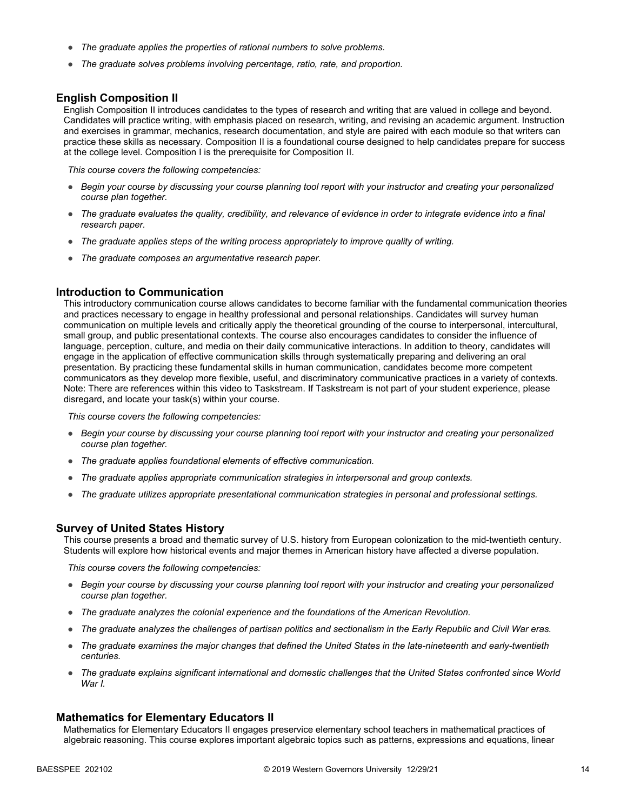- *The graduate applies the properties of rational numbers to solve problems.*
- *The graduate solves problems involving percentage, ratio, rate, and proportion.*

#### **English Composition II**

English Composition II introduces candidates to the types of research and writing that are valued in college and beyond. Candidates will practice writing, with emphasis placed on research, writing, and revising an academic argument. Instruction and exercises in grammar, mechanics, research documentation, and style are paired with each module so that writers can practice these skills as necessary. Composition II is a foundational course designed to help candidates prepare for success at the college level. Composition I is the prerequisite for Composition II.

*This course covers the following competencies:*

- *Begin your course by discussing your course planning tool report with your instructor and creating your personalized course plan together.*
- *The graduate evaluates the quality, credibility, and relevance of evidence in order to integrate evidence into a final research paper.*
- *The graduate applies steps of the writing process appropriately to improve quality of writing.*
- *The graduate composes an argumentative research paper.*

#### **Introduction to Communication**

This introductory communication course allows candidates to become familiar with the fundamental communication theories and practices necessary to engage in healthy professional and personal relationships. Candidates will survey human communication on multiple levels and critically apply the theoretical grounding of the course to interpersonal, intercultural, small group, and public presentational contexts. The course also encourages candidates to consider the influence of language, perception, culture, and media on their daily communicative interactions. In addition to theory, candidates will engage in the application of effective communication skills through systematically preparing and delivering an oral presentation. By practicing these fundamental skills in human communication, candidates become more competent communicators as they develop more flexible, useful, and discriminatory communicative practices in a variety of contexts. Note: There are references within this video to Taskstream. If Taskstream is not part of your student experience, please disregard, and locate your task(s) within your course.

*This course covers the following competencies:*

- *Begin your course by discussing your course planning tool report with your instructor and creating your personalized course plan together.*
- *The graduate applies foundational elements of effective communication.*
- *The graduate applies appropriate communication strategies in interpersonal and group contexts.*
- *The graduate utilizes appropriate presentational communication strategies in personal and professional settings.*

#### **Survey of United States History**

This course presents a broad and thematic survey of U.S. history from European colonization to the mid-twentieth century. Students will explore how historical events and major themes in American history have affected a diverse population.

*This course covers the following competencies:*

- *Begin your course by discussing your course planning tool report with your instructor and creating your personalized course plan together.*
- *The graduate analyzes the colonial experience and the foundations of the American Revolution.*
- *The graduate analyzes the challenges of partisan politics and sectionalism in the Early Republic and Civil War eras.*
- *The graduate examines the major changes that defined the United States in the late-nineteenth and early-twentieth centuries.*
- *The graduate explains significant international and domestic challenges that the United States confronted since World War I.*

#### **Mathematics for Elementary Educators II**

Mathematics for Elementary Educators II engages preservice elementary school teachers in mathematical practices of algebraic reasoning. This course explores important algebraic topics such as patterns, expressions and equations, linear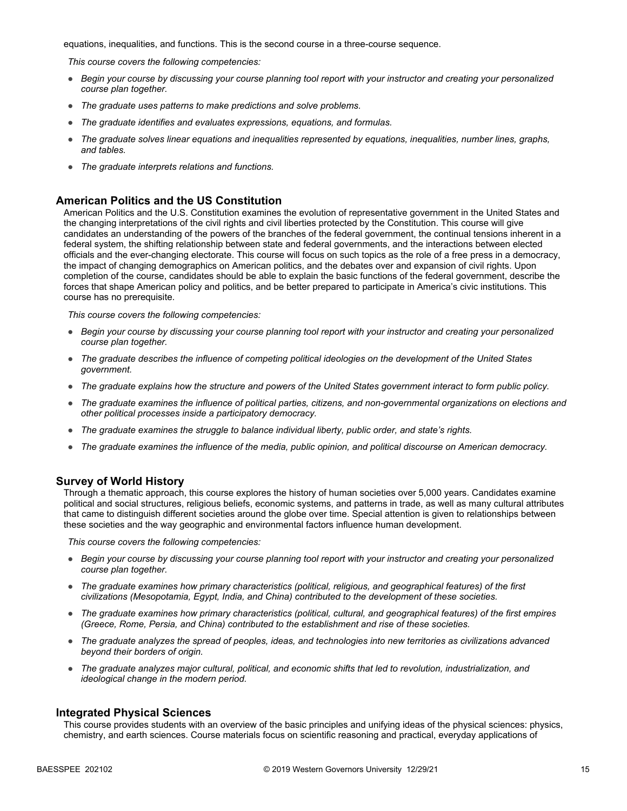equations, inequalities, and functions. This is the second course in a three-course sequence.

*This course covers the following competencies:*

- *Begin your course by discussing your course planning tool report with your instructor and creating your personalized course plan together.*
- *The graduate uses patterns to make predictions and solve problems.*
- *The graduate identifies and evaluates expressions, equations, and formulas.*
- *The graduate solves linear equations and inequalities represented by equations, inequalities, number lines, graphs, and tables.*
- *The graduate interprets relations and functions.*

#### **American Politics and the US Constitution**

American Politics and the U.S. Constitution examines the evolution of representative government in the United States and the changing interpretations of the civil rights and civil liberties protected by the Constitution. This course will give candidates an understanding of the powers of the branches of the federal government, the continual tensions inherent in a federal system, the shifting relationship between state and federal governments, and the interactions between elected officials and the ever-changing electorate. This course will focus on such topics as the role of a free press in a democracy, the impact of changing demographics on American politics, and the debates over and expansion of civil rights. Upon completion of the course, candidates should be able to explain the basic functions of the federal government, describe the forces that shape American policy and politics, and be better prepared to participate in America's civic institutions. This course has no prerequisite.

*This course covers the following competencies:*

- *Begin your course by discussing your course planning tool report with your instructor and creating your personalized course plan together.*
- *The graduate describes the influence of competing political ideologies on the development of the United States government.*
- *The graduate explains how the structure and powers of the United States government interact to form public policy.*
- *The graduate examines the influence of political parties, citizens, and non-governmental organizations on elections and other political processes inside a participatory democracy.*
- *The graduate examines the struggle to balance individual liberty, public order, and state's rights.*
- *The graduate examines the influence of the media, public opinion, and political discourse on American democracy.*

#### **Survey of World History**

Through a thematic approach, this course explores the history of human societies over 5,000 years. Candidates examine political and social structures, religious beliefs, economic systems, and patterns in trade, as well as many cultural attributes that came to distinguish different societies around the globe over time. Special attention is given to relationships between these societies and the way geographic and environmental factors influence human development.

*This course covers the following competencies:*

- *Begin your course by discussing your course planning tool report with your instructor and creating your personalized course plan together.*
- *The graduate examines how primary characteristics (political, religious, and geographical features) of the first civilizations (Mesopotamia, Egypt, India, and China) contributed to the development of these societies.*
- *The graduate examines how primary characteristics (political, cultural, and geographical features) of the first empires (Greece, Rome, Persia, and China) contributed to the establishment and rise of these societies.*
- *The graduate analyzes the spread of peoples, ideas, and technologies into new territories as civilizations advanced beyond their borders of origin.*
- *The graduate analyzes major cultural, political, and economic shifts that led to revolution, industrialization, and ideological change in the modern period.*

#### **Integrated Physical Sciences**

This course provides students with an overview of the basic principles and unifying ideas of the physical sciences: physics, chemistry, and earth sciences. Course materials focus on scientific reasoning and practical, everyday applications of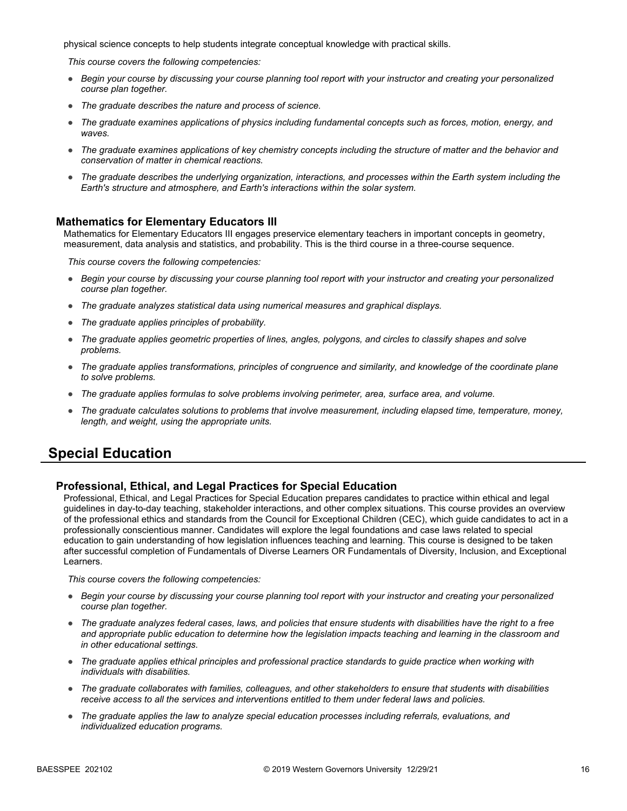physical science concepts to help students integrate conceptual knowledge with practical skills.

*This course covers the following competencies:*

- *Begin your course by discussing your course planning tool report with your instructor and creating your personalized course plan together.*
- *The graduate describes the nature and process of science.*
- *The graduate examines applications of physics including fundamental concepts such as forces, motion, energy, and waves.*
- *The graduate examines applications of key chemistry concepts including the structure of matter and the behavior and conservation of matter in chemical reactions.*
- *The graduate describes the underlying organization, interactions, and processes within the Earth system including the Earth's structure and atmosphere, and Earth's interactions within the solar system.*

### **Mathematics for Elementary Educators III**

Mathematics for Elementary Educators III engages preservice elementary teachers in important concepts in geometry, measurement, data analysis and statistics, and probability. This is the third course in a three-course sequence.

*This course covers the following competencies:*

- *Begin your course by discussing your course planning tool report with your instructor and creating your personalized course plan together.*
- *The graduate analyzes statistical data using numerical measures and graphical displays.*
- *The graduate applies principles of probability.*
- *The graduate applies geometric properties of lines, angles, polygons, and circles to classify shapes and solve problems.*
- *The graduate applies transformations, principles of congruence and similarity, and knowledge of the coordinate plane to solve problems.*
- *The graduate applies formulas to solve problems involving perimeter, area, surface area, and volume.*
- *The graduate calculates solutions to problems that involve measurement, including elapsed time, temperature, money, length, and weight, using the appropriate units.*

### **Special Education**

#### **Professional, Ethical, and Legal Practices for Special Education**

Professional, Ethical, and Legal Practices for Special Education prepares candidates to practice within ethical and legal guidelines in day-to-day teaching, stakeholder interactions, and other complex situations. This course provides an overview of the professional ethics and standards from the Council for Exceptional Children (CEC), which guide candidates to act in a professionally conscientious manner. Candidates will explore the legal foundations and case laws related to special education to gain understanding of how legislation influences teaching and learning. This course is designed to be taken after successful completion of Fundamentals of Diverse Learners OR Fundamentals of Diversity, Inclusion, and Exceptional Learners.

- *Begin your course by discussing your course planning tool report with your instructor and creating your personalized course plan together.*
- *The graduate analyzes federal cases, laws, and policies that ensure students with disabilities have the right to a free*  and appropriate public education to determine how the legislation impacts teaching and learning in the classroom and *in other educational settings.*
- *The graduate applies ethical principles and professional practice standards to guide practice when working with individuals with disabilities.*
- *The graduate collaborates with families, colleagues, and other stakeholders to ensure that students with disabilities receive access to all the services and interventions entitled to them under federal laws and policies.*
- *The graduate applies the law to analyze special education processes including referrals, evaluations, and individualized education programs.*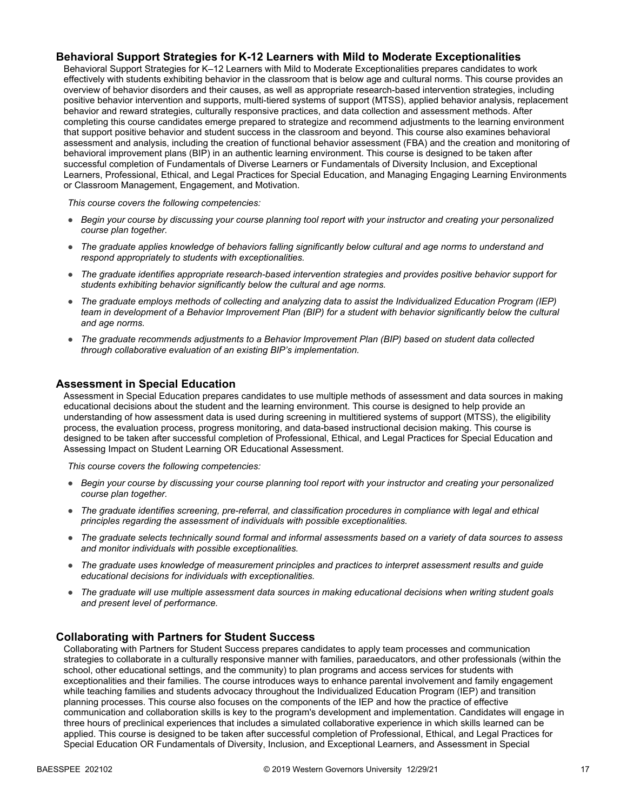### **Behavioral Support Strategies for K-12 Learners with Mild to Moderate Exceptionalities**

Behavioral Support Strategies for K–12 Learners with Mild to Moderate Exceptionalities prepares candidates to work effectively with students exhibiting behavior in the classroom that is below age and cultural norms. This course provides an overview of behavior disorders and their causes, as well as appropriate research-based intervention strategies, including positive behavior intervention and supports, multi-tiered systems of support (MTSS), applied behavior analysis, replacement behavior and reward strategies, culturally responsive practices, and data collection and assessment methods. After completing this course candidates emerge prepared to strategize and recommend adjustments to the learning environment that support positive behavior and student success in the classroom and beyond. This course also examines behavioral assessment and analysis, including the creation of functional behavior assessment (FBA) and the creation and monitoring of behavioral improvement plans (BIP) in an authentic learning environment. This course is designed to be taken after successful completion of Fundamentals of Diverse Learners or Fundamentals of Diversity Inclusion, and Exceptional Learners, Professional, Ethical, and Legal Practices for Special Education, and Managing Engaging Learning Environments or Classroom Management, Engagement, and Motivation.

*This course covers the following competencies:*

- *Begin your course by discussing your course planning tool report with your instructor and creating your personalized course plan together.*
- *The graduate applies knowledge of behaviors falling significantly below cultural and age norms to understand and respond appropriately to students with exceptionalities.*
- *The graduate identifies appropriate research-based intervention strategies and provides positive behavior support for students exhibiting behavior significantly below the cultural and age norms.*
- *The graduate employs methods of collecting and analyzing data to assist the Individualized Education Program (IEP) team in development of a Behavior Improvement Plan (BIP) for a student with behavior significantly below the cultural and age norms.*
- *The graduate recommends adjustments to a Behavior Improvement Plan (BIP) based on student data collected through collaborative evaluation of an existing BIP's implementation.*

### **Assessment in Special Education**

Assessment in Special Education prepares candidates to use multiple methods of assessment and data sources in making educational decisions about the student and the learning environment. This course is designed to help provide an understanding of how assessment data is used during screening in multitiered systems of support (MTSS), the eligibility process, the evaluation process, progress monitoring, and data-based instructional decision making. This course is designed to be taken after successful completion of Professional, Ethical, and Legal Practices for Special Education and Assessing Impact on Student Learning OR Educational Assessment.

*This course covers the following competencies:*

- *Begin your course by discussing your course planning tool report with your instructor and creating your personalized course plan together.*
- *The graduate identifies screening, pre-referral, and classification procedures in compliance with legal and ethical principles regarding the assessment of individuals with possible exceptionalities.*
- *The graduate selects technically sound formal and informal assessments based on a variety of data sources to assess and monitor individuals with possible exceptionalities.*
- *The graduate uses knowledge of measurement principles and practices to interpret assessment results and guide educational decisions for individuals with exceptionalities.*
- *The graduate will use multiple assessment data sources in making educational decisions when writing student goals and present level of performance.*

#### **Collaborating with Partners for Student Success**

Collaborating with Partners for Student Success prepares candidates to apply team processes and communication strategies to collaborate in a culturally responsive manner with families, paraeducators, and other professionals (within the school, other educational settings, and the community) to plan programs and access services for students with exceptionalities and their families. The course introduces ways to enhance parental involvement and family engagement while teaching families and students advocacy throughout the Individualized Education Program (IEP) and transition planning processes. This course also focuses on the components of the IEP and how the practice of effective communication and collaboration skills is key to the program's development and implementation. Candidates will engage in three hours of preclinical experiences that includes a simulated collaborative experience in which skills learned can be applied. This course is designed to be taken after successful completion of Professional, Ethical, and Legal Practices for Special Education OR Fundamentals of Diversity, Inclusion, and Exceptional Learners, and Assessment in Special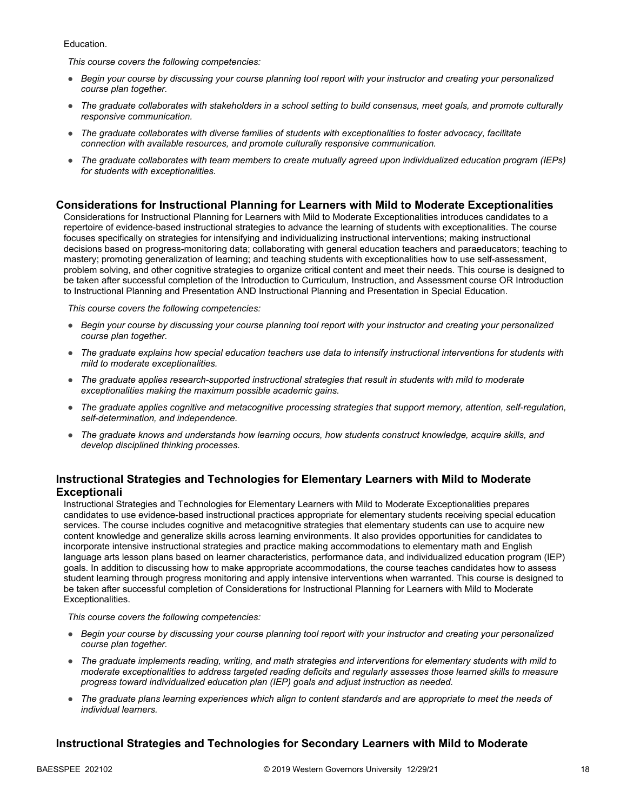Education.

*This course covers the following competencies:*

- *Begin your course by discussing your course planning tool report with your instructor and creating your personalized course plan together.*
- *The graduate collaborates with stakeholders in a school setting to build consensus, meet goals, and promote culturally responsive communication.*
- *The graduate collaborates with diverse families of students with exceptionalities to foster advocacy, facilitate connection with available resources, and promote culturally responsive communication.*
- *The graduate collaborates with team members to create mutually agreed upon individualized education program (IEPs) for students with exceptionalities.*

### **Considerations for Instructional Planning for Learners with Mild to Moderate Exceptionalities**

Considerations for Instructional Planning for Learners with Mild to Moderate Exceptionalities introduces candidates to a repertoire of evidence-based instructional strategies to advance the learning of students with exceptionalities. The course focuses specifically on strategies for intensifying and individualizing instructional interventions; making instructional decisions based on progress-monitoring data; collaborating with general education teachers and paraeducators; teaching to mastery; promoting generalization of learning; and teaching students with exceptionalities how to use self-assessment, problem solving, and other cognitive strategies to organize critical content and meet their needs. This course is designed to be taken after successful completion of the Introduction to Curriculum, Instruction, and Assessment course OR Introduction to Instructional Planning and Presentation AND Instructional Planning and Presentation in Special Education.

*This course covers the following competencies:*

- *Begin your course by discussing your course planning tool report with your instructor and creating your personalized course plan together.*
- *The graduate explains how special education teachers use data to intensify instructional interventions for students with mild to moderate exceptionalities.*
- *The graduate applies research-supported instructional strategies that result in students with mild to moderate exceptionalities making the maximum possible academic gains.*
- *The graduate applies cognitive and metacognitive processing strategies that support memory, attention, self-regulation, self-determination, and independence.*
- *The graduate knows and understands how learning occurs, how students construct knowledge, acquire skills, and develop disciplined thinking processes.*

### **Instructional Strategies and Technologies for Elementary Learners with Mild to Moderate Exceptionali**

Instructional Strategies and Technologies for Elementary Learners with Mild to Moderate Exceptionalities prepares candidates to use evidence-based instructional practices appropriate for elementary students receiving special education services. The course includes cognitive and metacognitive strategies that elementary students can use to acquire new content knowledge and generalize skills across learning environments. It also provides opportunities for candidates to incorporate intensive instructional strategies and practice making accommodations to elementary math and English language arts lesson plans based on learner characteristics, performance data, and individualized education program (IEP) goals. In addition to discussing how to make appropriate accommodations, the course teaches candidates how to assess student learning through progress monitoring and apply intensive interventions when warranted. This course is designed to be taken after successful completion of Considerations for Instructional Planning for Learners with Mild to Moderate Exceptionalities.

*This course covers the following competencies:*

- *Begin your course by discussing your course planning tool report with your instructor and creating your personalized course plan together.*
- *The graduate implements reading, writing, and math strategies and interventions for elementary students with mild to moderate exceptionalities to address targeted reading deficits and regularly assesses those learned skills to measure progress toward individualized education plan (IEP) goals and adjust instruction as needed.*
- *The graduate plans learning experiences which align to content standards and are appropriate to meet the needs of individual learners.*

### **Instructional Strategies and Technologies for Secondary Learners with Mild to Moderate**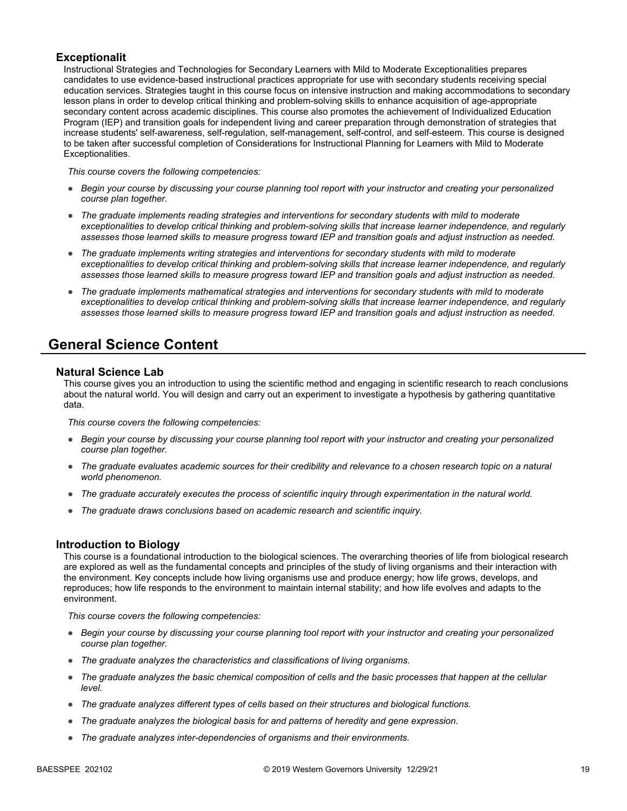### **Exceptionalit**

Instructional Strategies and Technologies for Secondary Learners with Mild to Moderate Exceptionalities prepares candidates to use evidence-based instructional practices appropriate for use with secondary students receiving special education services. Strategies taught in this course focus on intensive instruction and making accommodations to secondary lesson plans in order to develop critical thinking and problem-solving skills to enhance acquisition of age-appropriate secondary content across academic disciplines. This course also promotes the achievement of Individualized Education Program (IEP) and transition goals for independent living and career preparation through demonstration of strategies that increase students' self-awareness, self-regulation, self-management, self-control, and self-esteem. This course is designed to be taken after successful completion of Considerations for Instructional Planning for Learners with Mild to Moderate Exceptionalities.

*This course covers the following competencies:*

- *Begin your course by discussing your course planning tool report with your instructor and creating your personalized course plan together.*
- *The graduate implements reading strategies and interventions for secondary students with mild to moderate exceptionalities to develop critical thinking and problem-solving skills that increase learner independence, and regularly assesses those learned skills to measure progress toward IEP and transition goals and adjust instruction as needed.*
- *The graduate implements writing strategies and interventions for secondary students with mild to moderate exceptionalities to develop critical thinking and problem-solving skills that increase learner independence, and regularly assesses those learned skills to measure progress toward IEP and transition goals and adjust instruction as needed.*
- *The graduate implements mathematical strategies and interventions for secondary students with mild to moderate exceptionalities to develop critical thinking and problem-solving skills that increase learner independence, and regularly assesses those learned skills to measure progress toward IEP and transition goals and adjust instruction as needed.*

## **General Science Content**

#### **Natural Science Lab**

This course gives you an introduction to using the scientific method and engaging in scientific research to reach conclusions about the natural world. You will design and carry out an experiment to investigate a hypothesis by gathering quantitative data.

*This course covers the following competencies:*

- *Begin your course by discussing your course planning tool report with your instructor and creating your personalized course plan together.*
- The graduate evaluates academic sources for their credibility and relevance to a chosen research topic on a natural *world phenomenon.*
- *The graduate accurately executes the process of scientific inquiry through experimentation in the natural world.*
- *The graduate draws conclusions based on academic research and scientific inquiry.*

#### **Introduction to Biology**

This course is a foundational introduction to the biological sciences. The overarching theories of life from biological research are explored as well as the fundamental concepts and principles of the study of living organisms and their interaction with the environment. Key concepts include how living organisms use and produce energy; how life grows, develops, and reproduces; how life responds to the environment to maintain internal stability; and how life evolves and adapts to the environment.

- *Begin your course by discussing your course planning tool report with your instructor and creating your personalized course plan together.*
- *The graduate analyzes the characteristics and classifications of living organisms.*
- *The graduate analyzes the basic chemical composition of cells and the basic processes that happen at the cellular level.*
- *The graduate analyzes different types of cells based on their structures and biological functions.*
- *The graduate analyzes the biological basis for and patterns of heredity and gene expression.*
- *The graduate analyzes inter-dependencies of organisms and their environments.*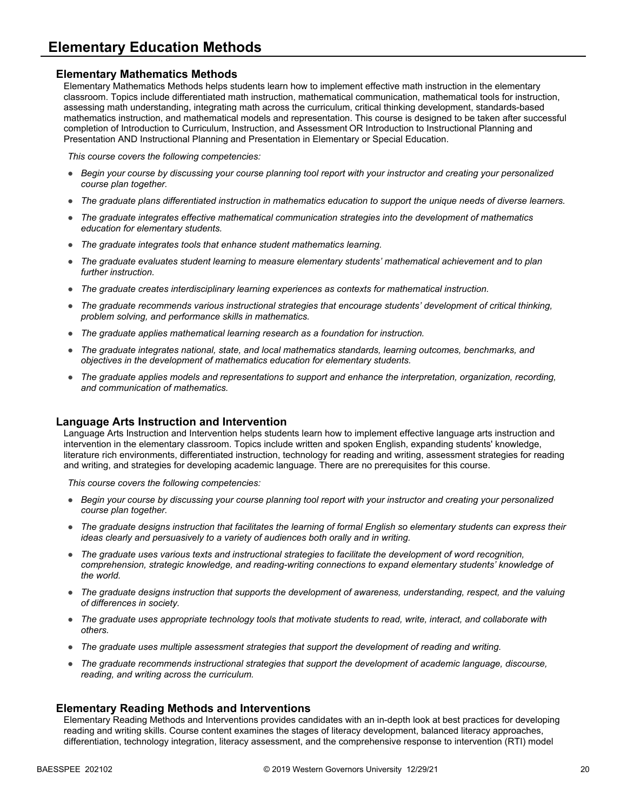### **Elementary Mathematics Methods**

Elementary Mathematics Methods helps students learn how to implement effective math instruction in the elementary classroom. Topics include differentiated math instruction, mathematical communication, mathematical tools for instruction, assessing math understanding, integrating math across the curriculum, critical thinking development, standards-based mathematics instruction, and mathematical models and representation. This course is designed to be taken after successful completion of Introduction to Curriculum, Instruction, and Assessment OR Introduction to Instructional Planning and Presentation AND Instructional Planning and Presentation in Elementary or Special Education.

*This course covers the following competencies:*

- *Begin your course by discussing your course planning tool report with your instructor and creating your personalized course plan together.*
- *The graduate plans differentiated instruction in mathematics education to support the unique needs of diverse learners.*
- *The graduate integrates effective mathematical communication strategies into the development of mathematics education for elementary students.*
- *The graduate integrates tools that enhance student mathematics learning.*
- *The graduate evaluates student learning to measure elementary students' mathematical achievement and to plan further instruction.*
- *The graduate creates interdisciplinary learning experiences as contexts for mathematical instruction.*
- *The graduate recommends various instructional strategies that encourage students' development of critical thinking, problem solving, and performance skills in mathematics.*
- *The graduate applies mathematical learning research as a foundation for instruction.*
- *The graduate integrates national, state, and local mathematics standards, learning outcomes, benchmarks, and objectives in the development of mathematics education for elementary students.*
- *The graduate applies models and representations to support and enhance the interpretation, organization, recording, and communication of mathematics.*

#### **Language Arts Instruction and Intervention**

Language Arts Instruction and Intervention helps students learn how to implement effective language arts instruction and intervention in the elementary classroom. Topics include written and spoken English, expanding students' knowledge, literature rich environments, differentiated instruction, technology for reading and writing, assessment strategies for reading and writing, and strategies for developing academic language. There are no prerequisites for this course.

*This course covers the following competencies:*

- *Begin your course by discussing your course planning tool report with your instructor and creating your personalized course plan together.*
- *The graduate designs instruction that facilitates the learning of formal English so elementary students can express their ideas clearly and persuasively to a variety of audiences both orally and in writing.*
- The graduate uses various texts and instructional strategies to facilitate the development of word recognition, *comprehension, strategic knowledge, and reading-writing connections to expand elementary students' knowledge of the world.*
- *The graduate designs instruction that supports the development of awareness, understanding, respect, and the valuing of differences in society.*
- *The graduate uses appropriate technology tools that motivate students to read, write, interact, and collaborate with others.*
- *The graduate uses multiple assessment strategies that support the development of reading and writing.*
- *The graduate recommends instructional strategies that support the development of academic language, discourse, reading, and writing across the curriculum.*

#### **Elementary Reading Methods and Interventions**

Elementary Reading Methods and Interventions provides candidates with an in-depth look at best practices for developing reading and writing skills. Course content examines the stages of literacy development, balanced literacy approaches, differentiation, technology integration, literacy assessment, and the comprehensive response to intervention (RTI) model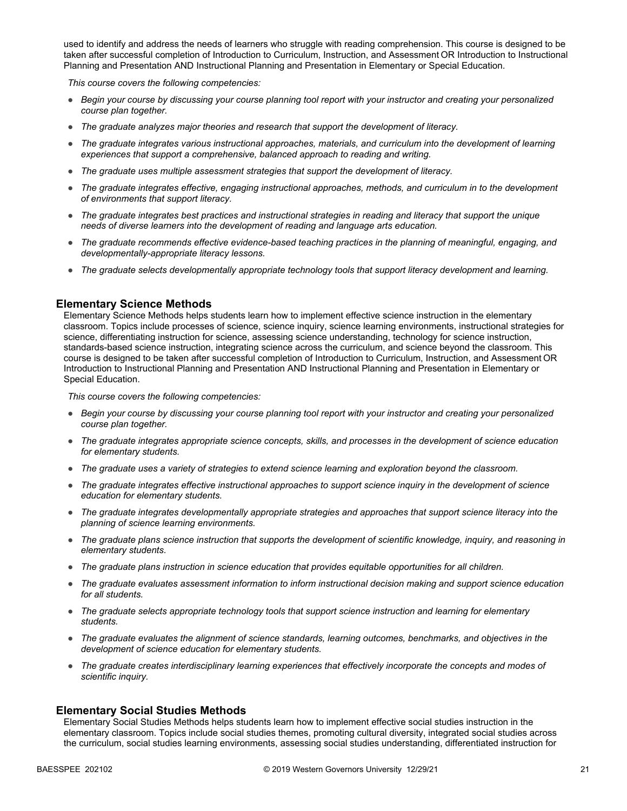used to identify and address the needs of learners who struggle with reading comprehension. This course is designed to be taken after successful completion of Introduction to Curriculum, Instruction, and Assessment OR Introduction to Instructional Planning and Presentation AND Instructional Planning and Presentation in Elementary or Special Education.

*This course covers the following competencies:*

- *Begin your course by discussing your course planning tool report with your instructor and creating your personalized course plan together.*
- *The graduate analyzes major theories and research that support the development of literacy.*
- *The graduate integrates various instructional approaches, materials, and curriculum into the development of learning experiences that support a comprehensive, balanced approach to reading and writing.*
- *The graduate uses multiple assessment strategies that support the development of literacy.*
- *The graduate integrates effective, engaging instructional approaches, methods, and curriculum in to the development of environments that support literacy.*
- *The graduate integrates best practices and instructional strategies in reading and literacy that support the unique needs of diverse learners into the development of reading and language arts education.*
- *The graduate recommends effective evidence-based teaching practices in the planning of meaningful, engaging, and developmentally-appropriate literacy lessons.*
- *The graduate selects developmentally appropriate technology tools that support literacy development and learning.*

#### **Elementary Science Methods**

Elementary Science Methods helps students learn how to implement effective science instruction in the elementary classroom. Topics include processes of science, science inquiry, science learning environments, instructional strategies for science, differentiating instruction for science, assessing science understanding, technology for science instruction, standards-based science instruction, integrating science across the curriculum, and science beyond the classroom. This course is designed to be taken after successful completion of Introduction to Curriculum, Instruction, and Assessment OR Introduction to Instructional Planning and Presentation AND Instructional Planning and Presentation in Elementary or Special Education.

*This course covers the following competencies:*

- *Begin your course by discussing your course planning tool report with your instructor and creating your personalized course plan together.*
- *The graduate integrates appropriate science concepts, skills, and processes in the development of science education for elementary students.*
- *The graduate uses a variety of strategies to extend science learning and exploration beyond the classroom.*
- *The graduate integrates effective instructional approaches to support science inquiry in the development of science education for elementary students.*
- *The graduate integrates developmentally appropriate strategies and approaches that support science literacy into the planning of science learning environments.*
- *The graduate plans science instruction that supports the development of scientific knowledge, inquiry, and reasoning in elementary students.*
- *The graduate plans instruction in science education that provides equitable opportunities for all children.*
- *The graduate evaluates assessment information to inform instructional decision making and support science education for all students.*
- *The graduate selects appropriate technology tools that support science instruction and learning for elementary students.*
- *The graduate evaluates the alignment of science standards, learning outcomes, benchmarks, and objectives in the development of science education for elementary students.*
- *The graduate creates interdisciplinary learning experiences that effectively incorporate the concepts and modes of scientific inquiry.*

#### **Elementary Social Studies Methods**

Elementary Social Studies Methods helps students learn how to implement effective social studies instruction in the elementary classroom. Topics include social studies themes, promoting cultural diversity, integrated social studies across the curriculum, social studies learning environments, assessing social studies understanding, differentiated instruction for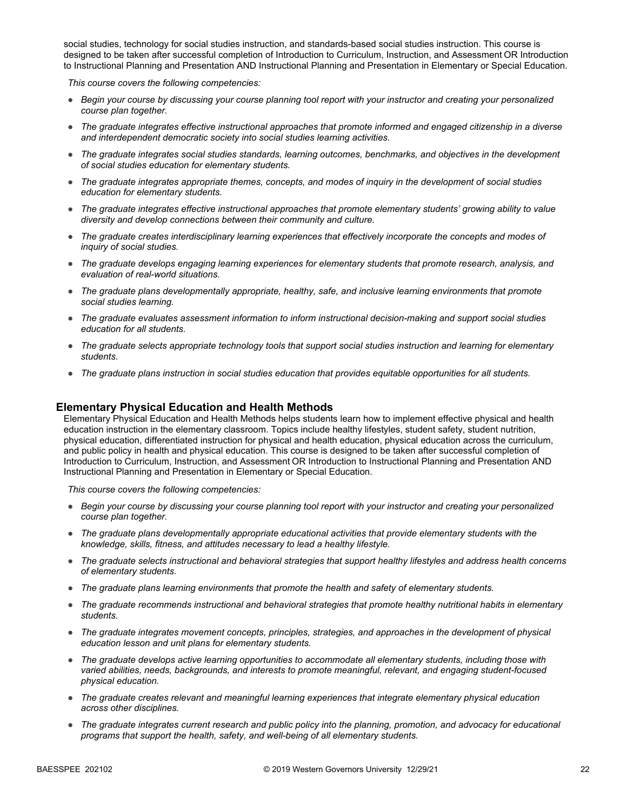social studies, technology for social studies instruction, and standards-based social studies instruction. This course is designed to be taken after successful completion of Introduction to Curriculum, Instruction, and Assessment OR Introduction to Instructional Planning and Presentation AND Instructional Planning and Presentation in Elementary or Special Education.

*This course covers the following competencies:*

- *Begin your course by discussing your course planning tool report with your instructor and creating your personalized course plan together.*
- *The graduate integrates effective instructional approaches that promote informed and engaged citizenship in a diverse and interdependent democratic society into social studies learning activities.*
- *The graduate integrates social studies standards, learning outcomes, benchmarks, and objectives in the development of social studies education for elementary students.*
- *The graduate integrates appropriate themes, concepts, and modes of inquiry in the development of social studies education for elementary students.*
- *The graduate integrates effective instructional approaches that promote elementary students' growing ability to value diversity and develop connections between their community and culture.*
- *The graduate creates interdisciplinary learning experiences that effectively incorporate the concepts and modes of inquiry of social studies.*
- *The graduate develops engaging learning experiences for elementary students that promote research, analysis, and evaluation of real-world situations.*
- *The graduate plans developmentally appropriate, healthy, safe, and inclusive learning environments that promote social studies learning.*
- *The graduate evaluates assessment information to inform instructional decision-making and support social studies education for all students.*
- *The graduate selects appropriate technology tools that support social studies instruction and learning for elementary students.*
- *The graduate plans instruction in social studies education that provides equitable opportunities for all students.*

#### **Elementary Physical Education and Health Methods**

Elementary Physical Education and Health Methods helps students learn how to implement effective physical and health education instruction in the elementary classroom. Topics include healthy lifestyles, student safety, student nutrition, physical education, differentiated instruction for physical and health education, physical education across the curriculum, and public policy in health and physical education. This course is designed to be taken after successful completion of Introduction to Curriculum, Instruction, and Assessment OR Introduction to Instructional Planning and Presentation AND Instructional Planning and Presentation in Elementary or Special Education.

- *Begin your course by discussing your course planning tool report with your instructor and creating your personalized course plan together.*
- *The graduate plans developmentally appropriate educational activities that provide elementary students with the knowledge, skills, fitness, and attitudes necessary to lead a healthy lifestyle.*
- *The graduate selects instructional and behavioral strategies that support healthy lifestyles and address health concerns of elementary students.*
- *The graduate plans learning environments that promote the health and safety of elementary students.*
- *The graduate recommends instructional and behavioral strategies that promote healthy nutritional habits in elementary students.*
- *The graduate integrates movement concepts, principles, strategies, and approaches in the development of physical education lesson and unit plans for elementary students.*
- *The graduate develops active learning opportunities to accommodate all elementary students, including those with varied abilities, needs, backgrounds, and interests to promote meaningful, relevant, and engaging student-focused physical education.*
- *The graduate creates relevant and meaningful learning experiences that integrate elementary physical education across other disciplines.*
- *The graduate integrates current research and public policy into the planning, promotion, and advocacy for educational programs that support the health, safety, and well-being of all elementary students.*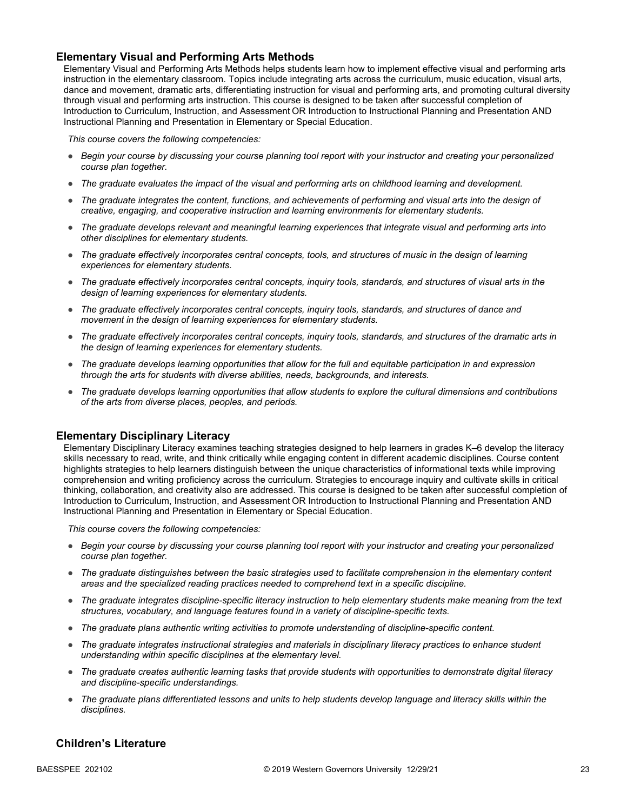### **Elementary Visual and Performing Arts Methods**

Elementary Visual and Performing Arts Methods helps students learn how to implement effective visual and performing arts instruction in the elementary classroom. Topics include integrating arts across the curriculum, music education, visual arts, dance and movement, dramatic arts, differentiating instruction for visual and performing arts, and promoting cultural diversity through visual and performing arts instruction. This course is designed to be taken after successful completion of Introduction to Curriculum, Instruction, and Assessment OR Introduction to Instructional Planning and Presentation AND Instructional Planning and Presentation in Elementary or Special Education.

*This course covers the following competencies:*

- *Begin your course by discussing your course planning tool report with your instructor and creating your personalized course plan together.*
- *The graduate evaluates the impact of the visual and performing arts on childhood learning and development.*
- *The graduate integrates the content, functions, and achievements of performing and visual arts into the design of creative, engaging, and cooperative instruction and learning environments for elementary students.*
- *The graduate develops relevant and meaningful learning experiences that integrate visual and performing arts into other disciplines for elementary students.*
- *The graduate effectively incorporates central concepts, tools, and structures of music in the design of learning experiences for elementary students.*
- *The graduate effectively incorporates central concepts, inquiry tools, standards, and structures of visual arts in the design of learning experiences for elementary students.*
- *The graduate effectively incorporates central concepts, inquiry tools, standards, and structures of dance and movement in the design of learning experiences for elementary students.*
- *The graduate effectively incorporates central concepts, inquiry tools, standards, and structures of the dramatic arts in the design of learning experiences for elementary students.*
- *The graduate develops learning opportunities that allow for the full and equitable participation in and expression through the arts for students with diverse abilities, needs, backgrounds, and interests.*
- *The graduate develops learning opportunities that allow students to explore the cultural dimensions and contributions of the arts from diverse places, peoples, and periods.*

#### **Elementary Disciplinary Literacy**

Elementary Disciplinary Literacy examines teaching strategies designed to help learners in grades K–6 develop the literacy skills necessary to read, write, and think critically while engaging content in different academic disciplines. Course content highlights strategies to help learners distinguish between the unique characteristics of informational texts while improving comprehension and writing proficiency across the curriculum. Strategies to encourage inquiry and cultivate skills in critical thinking, collaboration, and creativity also are addressed. This course is designed to be taken after successful completion of Introduction to Curriculum, Instruction, and Assessment OR Introduction to Instructional Planning and Presentation AND Instructional Planning and Presentation in Elementary or Special Education.

*This course covers the following competencies:*

- *Begin your course by discussing your course planning tool report with your instructor and creating your personalized course plan together.*
- *The graduate distinguishes between the basic strategies used to facilitate comprehension in the elementary content areas and the specialized reading practices needed to comprehend text in a specific discipline.*
- *The graduate integrates discipline-specific literacy instruction to help elementary students make meaning from the text structures, vocabulary, and language features found in a variety of discipline-specific texts.*
- *The graduate plans authentic writing activities to promote understanding of discipline-specific content.*
- The graduate integrates instructional strategies and materials in disciplinary literacy practices to enhance student *understanding within specific disciplines at the elementary level.*
- *The graduate creates authentic learning tasks that provide students with opportunities to demonstrate digital literacy and discipline-specific understandings.*
- *The graduate plans differentiated lessons and units to help students develop language and literacy skills within the disciplines.*

### **Children's Literature**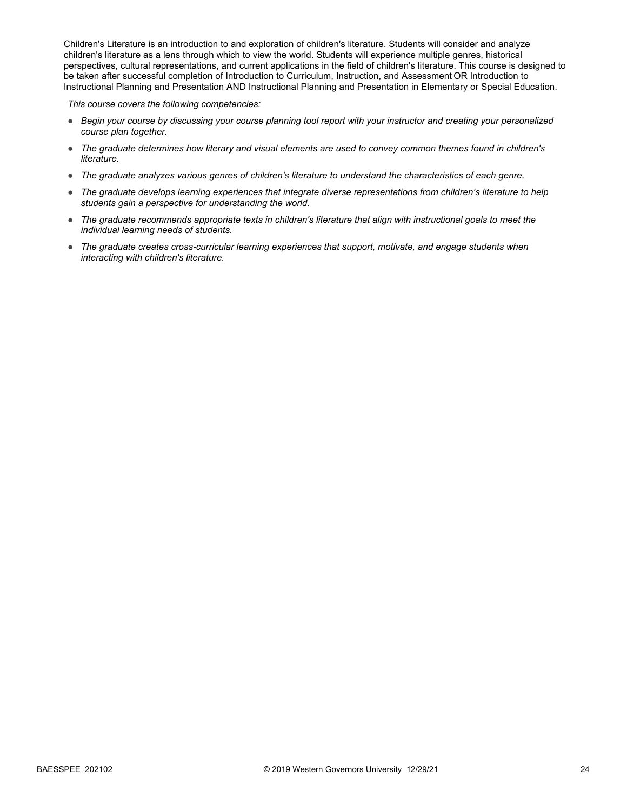Children's Literature is an introduction to and exploration of children's literature. Students will consider and analyze children's literature as a lens through which to view the world. Students will experience multiple genres, historical perspectives, cultural representations, and current applications in the field of children's literature. This course is designed to be taken after successful completion of Introduction to Curriculum, Instruction, and Assessment OR Introduction to Instructional Planning and Presentation AND Instructional Planning and Presentation in Elementary or Special Education.

- *Begin your course by discussing your course planning tool report with your instructor and creating your personalized course plan together.*
- *The graduate determines how literary and visual elements are used to convey common themes found in children's literature.*
- *The graduate analyzes various genres of children's literature to understand the characteristics of each genre.*
- *The graduate develops learning experiences that integrate diverse representations from children's literature to help students gain a perspective for understanding the world.*
- *The graduate recommends appropriate texts in children's literature that align with instructional goals to meet the individual learning needs of students.*
- *The graduate creates cross-curricular learning experiences that support, motivate, and engage students when interacting with children's literature.*